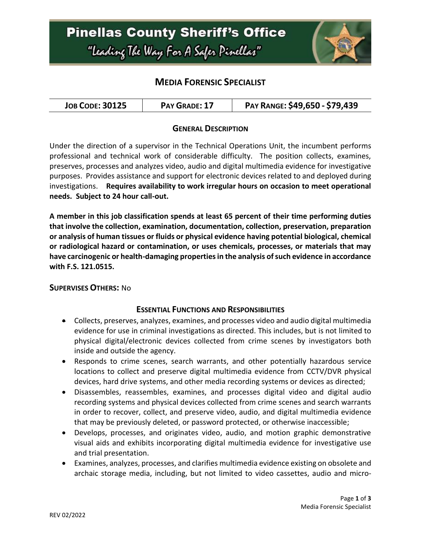

# **MEDIA FORENSIC SPECIALIST**

#### **GENERAL DESCRIPTION**

Under the direction of a supervisor in the Technical Operations Unit, the incumbent performs professional and technical work of considerable difficulty. The position collects, examines, preserves, processes and analyzes video, audio and digital multimedia evidence for investigative purposes. Provides assistance and support for electronic devices related to and deployed during investigations. **Requires availability to work irregular hours on occasion to meet operational needs. Subject to 24 hour call-out.**

**A member in this job classification spends at least 65 percent of their time performing duties that involve the collection, examination, documentation, collection, preservation, preparation or analysis of human tissues or fluids or physical evidence having potential biological, chemical or radiological hazard or contamination, or uses chemicals, processes, or materials that may have carcinogenic or health-damaging properties in the analysis of such evidence in accordance with F.S. 121.0515.**

#### **SUPERVISES OTHERS:** No

#### **ESSENTIAL FUNCTIONS AND RESPONSIBILITIES**

- Collects, preserves, analyzes, examines, and processes video and audio digital multimedia evidence for use in criminal investigations as directed. This includes, but is not limited to physical digital/electronic devices collected from crime scenes by investigators both inside and outside the agency.
- Responds to crime scenes, search warrants, and other potentially hazardous service locations to collect and preserve digital multimedia evidence from CCTV/DVR physical devices, hard drive systems, and other media recording systems or devices as directed;
- Disassembles, reassembles, examines, and processes digital video and digital audio recording systems and physical devices collected from crime scenes and search warrants in order to recover, collect, and preserve video, audio, and digital multimedia evidence that may be previously deleted, or password protected, or otherwise inaccessible;
- Develops, processes, and originates video, audio, and motion graphic demonstrative visual aids and exhibits incorporating digital multimedia evidence for investigative use and trial presentation.
- Examines, analyzes, processes, and clarifies multimedia evidence existing on obsolete and archaic storage media, including, but not limited to video cassettes, audio and micro-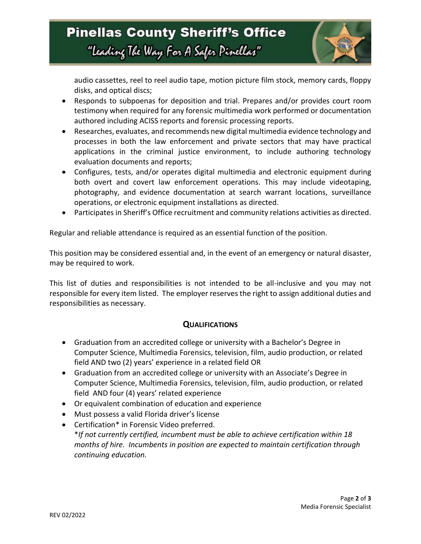

audio cassettes, reel to reel audio tape, motion picture film stock, memory cards, floppy disks, and optical discs;

- Responds to subpoenas for deposition and trial. Prepares and/or provides court room testimony when required for any forensic multimedia work performed or documentation authored including ACISS reports and forensic processing reports.
- Researches, evaluates, and recommends new digital multimedia evidence technology and processes in both the law enforcement and private sectors that may have practical applications in the criminal justice environment, to include authoring technology evaluation documents and reports;
- Configures, tests, and/or operates digital multimedia and electronic equipment during both overt and covert law enforcement operations. This may include videotaping, photography, and evidence documentation at search warrant locations, surveillance operations, or electronic equipment installations as directed.
- Participates in Sheriff's Office recruitment and community relations activities as directed.

Regular and reliable attendance is required as an essential function of the position.

This position may be considered essential and, in the event of an emergency or natural disaster, may be required to work.

This list of duties and responsibilities is not intended to be all-inclusive and you may not responsible for every item listed. The employer reserves the right to assign additional duties and responsibilities as necessary.

#### **QUALIFICATIONS**

- Graduation from an accredited college or university with a Bachelor's Degree in Computer Science, Multimedia Forensics, television, film, audio production, or related field AND two (2) years' experience in a related field OR
- Graduation from an accredited college or university with an Associate's Degree in Computer Science, Multimedia Forensics, television, film, audio production, or related field AND four (4) years' related experience
- Or equivalent combination of education and experience
- Must possess a valid Florida driver's license
- Certification\* in Forensic Video preferred. \**If not currently certified, incumbent must be able to achieve certification within 18 months of hire. Incumbents in position are expected to maintain certification through continuing education.*